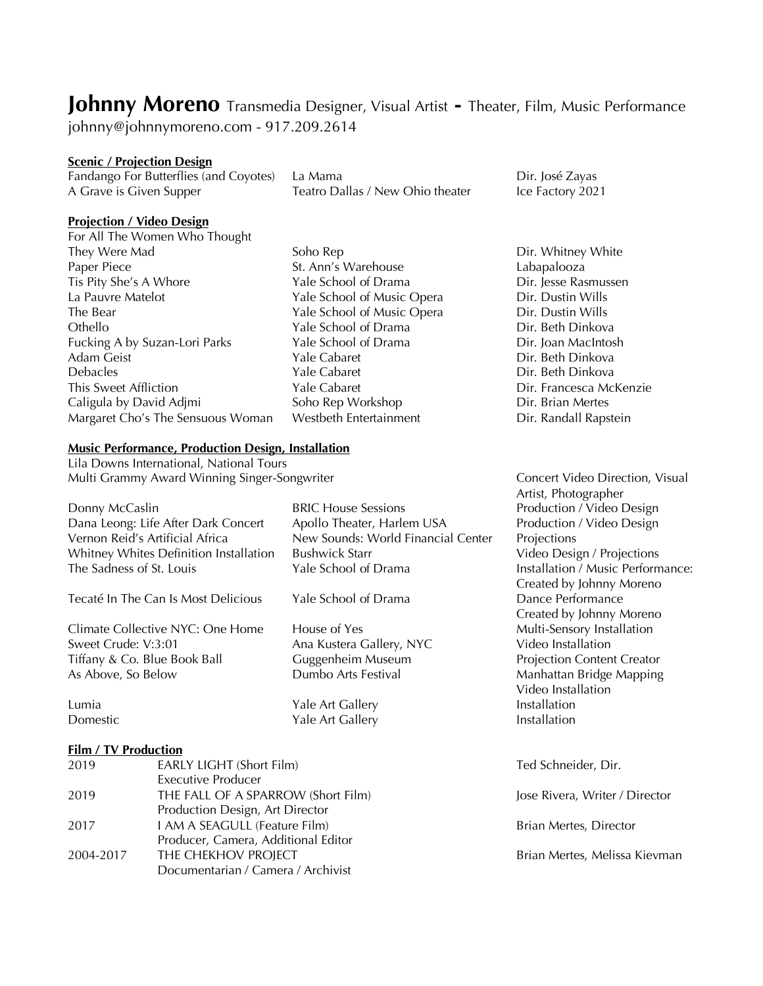# **Johnny Moreno** Transmedia Designer, Visual Artist **-** Theater, Film, Music Performance

johnny@johnnymoreno.com - 917.209.2614

#### **Scenic / Projection Design**

Fandango For Butterflies (and Coyotes) La Mama<br>
Dir. José Zayas A Grave is Given Supper Teatro Dallas / New Ohio theater Ice Factory 2021

Artist, Photographer Production / Video Design Production / Video Design

Video Installation

Video Installation

Video Design / Projections Installation / Music Performance: Created by Johnny Moreno Dance Performance Created by Johnny Moreno Multi-Sensory Installation

Projection Content Creator Manhattan Bridge Mapping

## **Projection / Video Design**

- For All The Women Who Thought They Were Mad **Soho Rep** Soho Rep **Dir. Whitney White** Paper Piece St. Ann's Warehouse Labapalooza Tis Pity She's A Whore La Pauvre Matelot Yale School of Music Opera Dir. Dustin Wills The Bear Yale School of Music Opera Dir. Dustin Wills Othello **The Vale School of Drama** Dir. Beth Dinkova Fucking A by Suzan-Lori Parks Yale School of Drama<br>Adam Geist MacIntosh Yale Cabaret Phine Bir. Beth Dinkova Debacles Yale Cabaret Dir. Beth Dinkova This Sweet Affliction Yale Cabaret Dir. Francesca McKenzie Caligula by David Adjmi Soho Rep Workshop Dir. Brian Mertes Margaret Cho's The Sensuous Woman Westbeth Entertainment **Direction** Dir. Randall Rapstein
	- **Adam Yale Cabaret Cabaret Contract Contract Contract Property** Dir. Beth Dinkova

#### **Music Performance, Production Design, Installation**

Lila Downs International, National Tours Multi Grammy Award Winning Singer-Songwriter Concert Video Direction, Visual

| Donny McCaslin                         | <b>BRIC House Sessions</b>         | Production   |
|----------------------------------------|------------------------------------|--------------|
| Dana Leong: Life After Dark Concert    | Apollo Theater, Harlem USA         | Production   |
| Vernon Reid's Artificial Africa        | New Sounds: World Financial Center | Projections  |
| Whitney Whites Definition Installation | <b>Bushwick Starr</b>              | Video Desi   |
| The Sadness of St. Louis               | Yale School of Drama               | Installation |
|                                        |                                    | Created by   |
| Tecaté In The Can Is Most Delicious    | Yale School of Drama               | Dance Perf   |
|                                        |                                    | Created by   |
| Climate Collective NYC: One Home       | House of Yes                       | Multi-Senso  |
| Sweet Crude: V:3:01                    | Ana Kustera Gallery, NYC           | Video Insta  |
| Tiffany & Co. Blue Book Ball           | Guggenheim Museum                  | Projection ( |
| As Above, So Below                     | Dumbo Arts Festival                | Manhattan    |
|                                        |                                    | Video Insta  |
| Lumia                                  | Yale Art Gallery                   | Installation |
| Domestic                               | Yale Art Gallery                   | Installation |

# **Film / TV Production**

| 2019      | <b>EARLY LIGHT (Short Film)</b>     | Ted Schneider, Dir.            |
|-----------|-------------------------------------|--------------------------------|
|           | <b>Executive Producer</b>           |                                |
| 2019      | THE FALL OF A SPARROW (Short Film)  | Jose Rivera, Writer / Director |
|           | Production Design, Art Director     |                                |
| 2017      | I AM A SEAGULL (Feature Film)       | Brian Mertes, Director         |
|           | Producer, Camera, Additional Editor |                                |
| 2004-2017 | THE CHEKHOV PROJECT                 | Brian Mertes, Melissa Kievman  |
|           | Documentarian / Camera / Archivist  |                                |